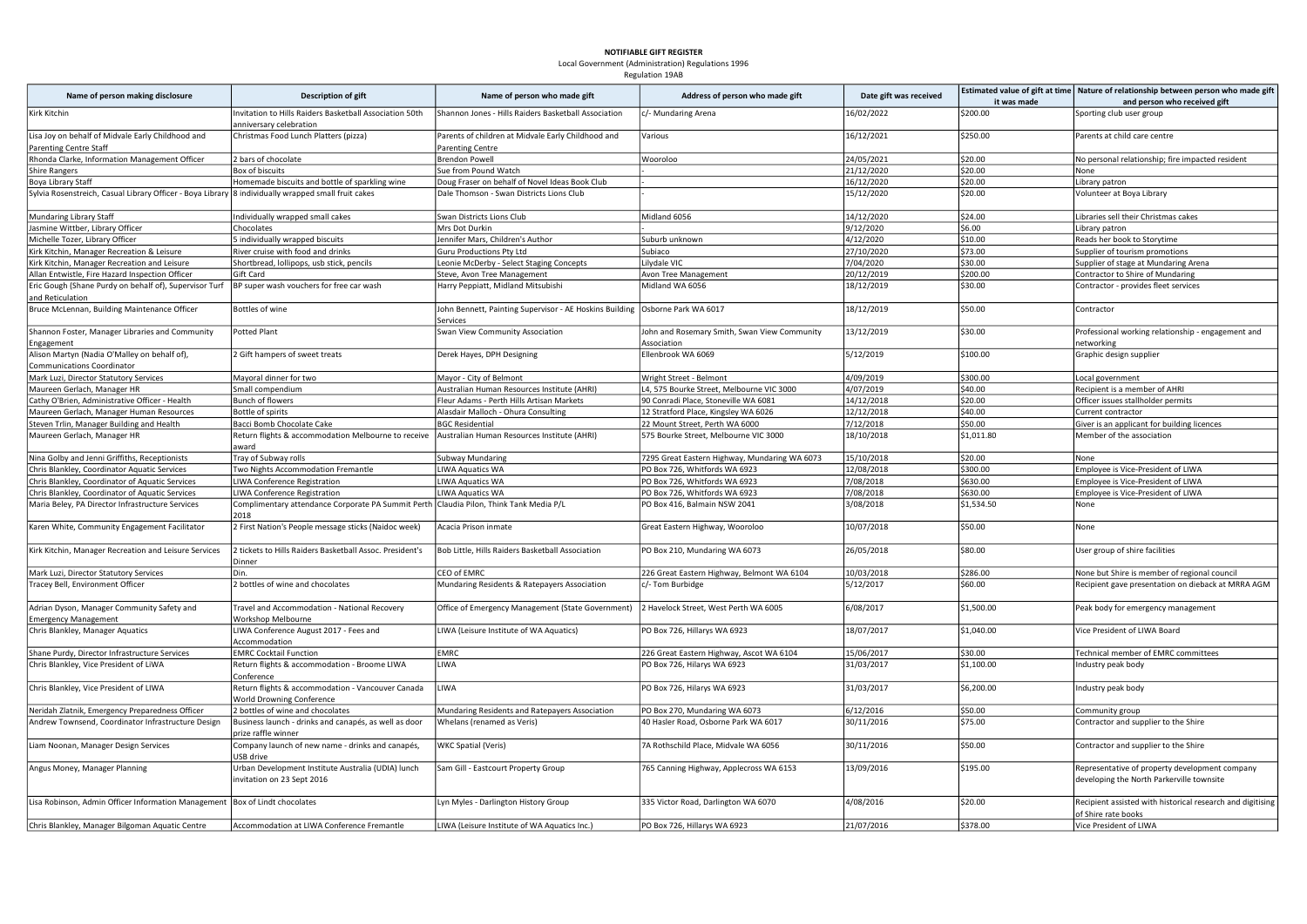## NOTIFIABLE GIFT REGISTER

Local Government (Administration) Regulations 1996 Regulation 19AB

| Name of person making disclosure                                                                     | Description of gift                                                                              | Name of person who made gift                                                               | Address of person who made gift                             | Date gift was received |             | Estimated value of gift at time   Nature of relationship between person who made gift       |
|------------------------------------------------------------------------------------------------------|--------------------------------------------------------------------------------------------------|--------------------------------------------------------------------------------------------|-------------------------------------------------------------|------------------------|-------------|---------------------------------------------------------------------------------------------|
|                                                                                                      |                                                                                                  |                                                                                            |                                                             |                        | it was made | and person who received gift                                                                |
| Kirk Kitchin                                                                                         | Invitation to Hills Raiders Basketball Association 50th<br>anniversary celebration               | Shannon Jones - Hills Raiders Basketball Association                                       | c/- Mundaring Arena                                         | 16/02/2022             | \$200.00    | Sporting club user group                                                                    |
| Lisa Joy on behalf of Midvale Early Childhood and<br>Parenting Centre Staff                          | Christmas Food Lunch Platters (pizza)                                                            | Parents of children at Midvale Early Childhood and<br><b>Parenting Centre</b>              | Various                                                     | 16/12/2021             | \$250.00    | Parents at child care centre                                                                |
| Rhonda Clarke, Information Management Officer                                                        | 2 bars of chocolate                                                                              | <b>Brendon Powell</b>                                                                      | Wooroloo                                                    | 24/05/2021             | \$20.00     | No personal relationship; fire impacted resident                                            |
| Shire Rangers                                                                                        | Box of biscuits                                                                                  | Sue from Pound Watch                                                                       |                                                             | 21/12/2020             | \$20.00     | None                                                                                        |
| Boya Library Staff                                                                                   | Homemade biscuits and bottle of sparkling wine                                                   | Doug Fraser on behalf of Novel Ideas Book Club                                             |                                                             | 16/12/2020             | \$20.00     | Library patron                                                                              |
| Sylvia Rosenstreich, Casual Library Officer - Boya Library  8 individually wrapped small fruit cakes |                                                                                                  | Dale Thomson - Swan Districts Lions Club                                                   |                                                             | 15/12/2020             | \$20.00     | Volunteer at Boya Library                                                                   |
| Mundaring Library Staff                                                                              | Individually wrapped small cakes                                                                 | Swan Districts Lions Club                                                                  | Midland 6056                                                | 14/12/2020             | \$24.00     | Libraries sell their Christmas cakes                                                        |
| Jasmine Wittber, Library Officer                                                                     | Chocolates                                                                                       | Mrs Dot Durkin                                                                             |                                                             | 9/12/2020              | \$6.00      | Library patron                                                                              |
| Michelle Tozer, Library Officer                                                                      | 5 individually wrapped biscuits                                                                  | Jennifer Mars, Children's Author                                                           |                                                             | 4/12/2020              | \$10.00     | Reads her book to Storytime                                                                 |
|                                                                                                      |                                                                                                  |                                                                                            | Suburb unknown                                              |                        | \$73.00     |                                                                                             |
| Kirk Kitchin, Manager Recreation & Leisure                                                           | River cruise with food and drinks                                                                | <b>Guru Productions Pty Ltd</b>                                                            | Subiaco                                                     | 27/10/2020             |             | Supplier of tourism promotions                                                              |
| Kirk Kitchin, Manager Recreation and Leisure                                                         | Shortbread, lollipops, usb stick, pencils                                                        | Leonie McDerby - Select Staging Concepts                                                   | Lilydale VIC                                                | 7/04/2020              | \$30.00     | Supplier of stage at Mundaring Arena                                                        |
| Allan Entwistle, Fire Hazard Inspection Officer                                                      | Gift Card                                                                                        | Steve, Avon Tree Management                                                                | Avon Tree Management                                        | 20/12/2019             | \$200.00    | Contractor to Shire of Mundaring                                                            |
| Eric Gough (Shane Purdy on behalf of), Supervisor Turf<br>and Reticulation                           | BP super wash vouchers for free car wash                                                         | Harry Peppiatt, Midland Mitsubishi                                                         | Midland WA 6056                                             | 18/12/2019             | \$30.00     | Contractor - provides fleet services                                                        |
| Bruce McLennan, Building Maintenance Officer                                                         | Bottles of wine                                                                                  | John Bennett, Painting Supervisor - AE Hoskins Building   Osborne Park WA 6017<br>Services |                                                             | 18/12/2019             | \$50.00     | Contractor                                                                                  |
| Shannon Foster, Manager Libraries and Community<br>Engagement                                        | Potted Plant                                                                                     | Swan View Community Association                                                            | John and Rosemary Smith, Swan View Community<br>Association | 13/12/2019             | \$30.00     | Professional working relationship - engagement and<br>networking                            |
| Alison Martyn (Nadia O'Malley on behalf of),<br><b>Communications Coordinator</b>                    | 2 Gift hampers of sweet treats                                                                   | Derek Hayes, DPH Designing                                                                 | Ellenbrook WA 6069                                          | 5/12/2019              | \$100.00    | Graphic design supplier                                                                     |
| Mark Luzi, Director Statutory Services                                                               | Mayoral dinner for two                                                                           | Mayor - City of Belmont                                                                    | Wright Street - Belmont                                     | 4/09/2019              | \$300.00    | Local government                                                                            |
| Maureen Gerlach, Manager HR                                                                          | Small compendium                                                                                 | Australian Human Resources Institute (AHRI)                                                | L4, 575 Bourke Street, Melbourne VIC 3000                   | 4/07/2019              | \$40.00     | Recipient is a member of AHRI                                                               |
| Cathy O'Brien, Administrative Officer - Health                                                       | Bunch of flowers                                                                                 | Fleur Adams - Perth Hills Artisan Markets                                                  | 90 Conradi Place, Stoneville WA 6081                        | 14/12/2018             | \$20.00     | Officer issues stallholder permits                                                          |
| Maureen Gerlach, Manager Human Resources                                                             | Bottle of spirits                                                                                | Alasdair Malloch - Ohura Consulting                                                        | 12 Stratford Place, Kingsley WA 6026                        | 12/12/2018             | \$40.00     | Current contractor                                                                          |
|                                                                                                      | Bacci Bomb Chocolate Cake                                                                        | <b>BGC Residential</b>                                                                     | 22 Mount Street, Perth WA 6000                              |                        | \$50.00     |                                                                                             |
| Steven Trlin, Manager Building and Health                                                            |                                                                                                  |                                                                                            |                                                             | 7/12/2018              |             | Giver is an applicant for building licences                                                 |
| Maureen Gerlach, Manager HR                                                                          | Return flights & accommodation Melbourne to receive<br>award                                     | Australian Human Resources Institute (AHRI)                                                | 575 Bourke Street, Melbourne VIC 3000                       | 18/10/2018             | \$1,011.80  | Member of the association                                                                   |
| Nina Golby and Jenni Griffiths, Receptionists                                                        | Tray of Subway rolls                                                                             | Subway Mundaring                                                                           | 7295 Great Eastern Highway, Mundaring WA 6073               | 15/10/2018             | \$20.00     | None                                                                                        |
| Chris Blankley, Coordinator Aquatic Services                                                         | Two Nights Accommodation Fremantle                                                               | <b>LIWA Aquatics WA</b>                                                                    | PO Box 726, Whitfords WA 6923                               | 12/08/2018             | \$300.00    | Employee is Vice-President of LIWA                                                          |
| Chris Blankley, Coordinator of Aquatic Services                                                      | LIWA Conference Registration                                                                     | <b>LIWA Aquatics WA</b>                                                                    | PO Box 726, Whitfords WA 6923                               | 7/08/2018              | \$630.00    | Employee is Vice-President of LIWA                                                          |
| Chris Blankley, Coordinator of Aquatic Services                                                      | LIWA Conference Registration                                                                     | <b>LIWA Aquatics WA</b>                                                                    | PO Box 726, Whitfords WA 6923                               | 7/08/2018              | \$630.00    | Employee is Vice-President of LIWA                                                          |
| Maria Beley, PA Director Infrastructure Services                                                     | Complimentary attendance Corporate PA Summit Perth   Claudia Pilon, Think Tank Media P/L<br>2018 |                                                                                            | PO Box 416, Balmain NSW 2041                                | 3/08/2018              | \$1,534.50  | None                                                                                        |
| Karen White, Community Engagement Facilitator                                                        | 2 First Nation's People message sticks (Naidoc week)                                             | Acacia Prison inmate                                                                       | Great Eastern Highway, Wooroloo                             | 10/07/2018             | \$50.00     | None                                                                                        |
| Kirk Kitchin, Manager Recreation and Leisure Services                                                | 2 tickets to Hills Raiders Basketball Assoc. President's<br>Dinner                               | Bob Little, Hills Raiders Basketball Association                                           | PO Box 210, Mundaring WA 6073                               | 26/05/2018             | \$80.00     | User group of shire facilities                                                              |
| Mark Luzi, Director Statutory Services                                                               | Din.                                                                                             | CEO of EMRC                                                                                | 226 Great Eastern Highway, Belmont WA 6104                  | 10/03/2018             | \$286.00    | None but Shire is member of regional council                                                |
| Fracey Bell, Environment Officer                                                                     | 2 bottles of wine and chocolates                                                                 | Mundaring Residents & Ratepayers Association                                               | c/- Tom Burbidge                                            | 5/12/2017              | \$60.00     | Recipient gave presentation on dieback at MRRA AGM                                          |
| Adrian Dyson, Manager Community Safety and                                                           | Travel and Accommodation - National Recovery                                                     | Office of Emergency Management (State Government)                                          | 2 Havelock Street, West Perth WA 6005                       | 6/08/2017              | \$1,500.00  | Peak body for emergency management                                                          |
| <b>Emergency Management</b>                                                                          | Workshop Melbourne                                                                               |                                                                                            |                                                             |                        |             |                                                                                             |
| Chris Blankley, Manager Aquatics                                                                     | LIWA Conference August 2017 - Fees and<br>Accommodation                                          | LIWA (Leisure Institute of WA Aquatics)                                                    | PO Box 726, Hillarys WA 6923                                | 18/07/2017             | \$1,040.00  | Vice President of LIWA Board                                                                |
| Shane Purdy, Director Infrastructure Services                                                        | <b>EMRC Cocktail Function</b>                                                                    | <b>EMRC</b>                                                                                | 226 Great Eastern Highway, Ascot WA 6104                    | 15/06/2017             | \$30.00     | Technical member of EMRC committees                                                         |
| Chris Blankley, Vice President of LiWA                                                               | Return flights & accommodation - Broome LIWA<br>Conference                                       | LIWA                                                                                       | PO Box 726, Hilarys WA 6923                                 | 31/03/2017             | \$1,100.00  | Industry peak body                                                                          |
| Chris Blankley, Vice President of LIWA                                                               | Return flights & accommodation - Vancouver Canada<br>World Drowning Conference                   | LIWA                                                                                       | PO Box 726, Hilarys WA 6923                                 | 31/03/2017             | \$6,200.00  | Industry peak body                                                                          |
| Neridah Zlatnik, Emergency Preparedness Officer                                                      | bottles of wine and chocolates                                                                   | Mundaring Residents and Ratepayers Association                                             | PO Box 270, Mundaring WA 6073                               | 6/12/2016              | \$50.00     | Community group                                                                             |
| Andrew Townsend, Coordinator Infrastructure Design                                                   | Business launch - drinks and canapés, as well as door<br>prize raffle winner                     | Whelans (renamed as Veris)                                                                 | 40 Hasler Road, Osborne Park WA 6017                        | 30/11/2016             | \$75.00     | Contractor and supplier to the Shire                                                        |
| Liam Noonan, Manager Design Services                                                                 | Company launch of new name - drinks and canapés,<br>USB drive                                    | WKC Spatial (Veris)                                                                        | 7A Rothschild Place, Midvale WA 6056                        | 30/11/2016             | \$50.00     | Contractor and supplier to the Shire                                                        |
| Angus Money, Manager Planning                                                                        | Urban Development Institute Australia (UDIA) lunch<br>invitation on 23 Sept 2016                 | Sam Gill - Eastcourt Property Group                                                        | 765 Canning Highway, Applecross WA 6153                     | 13/09/2016             | \$195.00    | Representative of property development company<br>developing the North Parkerville townsite |
| Lisa Robinson, Admin Officer Information Management   Box of Lindt chocolates                        |                                                                                                  | Lyn Myles - Darlington History Group                                                       | 335 Victor Road, Darlington WA 6070                         | 4/08/2016              | \$20.00     | Recipient assisted with historical research and digitising<br>of Shire rate books           |
| Chris Blankley, Manager Bilgoman Aquatic Centre                                                      | Accommodation at LIWA Conference Fremantle                                                       | LIWA (Leisure Institute of WA Aquatics Inc.)                                               | PO Box 726, Hillarys WA 6923                                | 21/07/2016             | \$378.00    | Vice President of LIWA                                                                      |